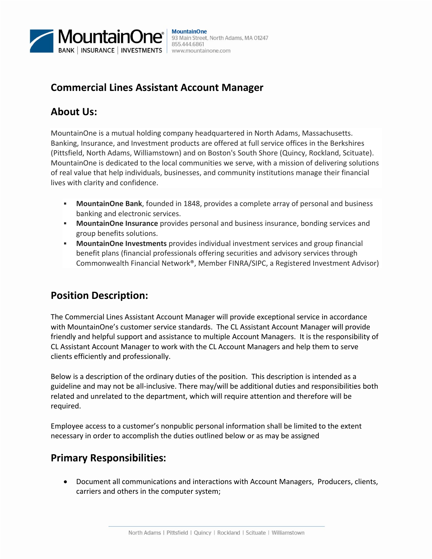

#### **MountainOne** 93 Main Street, North Adams, MA 01247 855.444.6861 www.mountainone.com

## **Commercial Lines Assistant Account Manager**

# **About Us:**

MountainOne is a mutual holding company headquartered in North Adams, Massachusetts. Banking, Insurance, and Investment products are offered at full service offices in the Berkshires (Pittsfield, North Adams, Williamstown) and on Boston's South Shore (Quincy, Rockland, Scituate). MountainOne is dedicated to the local communities we serve, with a mission of delivering solutions of real value that help individuals, businesses, and community institutions manage their financial lives with clarity and confidence.

- **MountainOne Bank**, founded in 1848, provides a complete array of personal and business banking and electronic services.
- **MountainOne Insurance** provides personal and business insurance, bonding services and group benefits solutions.
- **MountainOne Investments** provides individual investment services and group financial benefit plans (financial professionals offering securities and advisory services through Commonwealth Financial Network®, Member FINRA/SIPC, a Registered Investment Advisor)

# **Position Description:**

The Commercial Lines Assistant Account Manager will provide exceptional service in accordance with MountainOne's customer service standards. The CL Assistant Account Manager will provide friendly and helpful support and assistance to multiple Account Managers. It is the responsibility of CL Assistant Account Manager to work with the CL Account Managers and help them to serve clients efficiently and professionally.

Below is a description of the ordinary duties of the position. This description is intended as a guideline and may not be all-inclusive. There may/will be additional duties and responsibilities both related and unrelated to the department, which will require attention and therefore will be required.

Employee access to a customer's nonpublic personal information shall be limited to the extent necessary in order to accomplish the duties outlined below or as may be assigned

### **Primary Responsibilities**:

 Document all communications and interactions with Account Managers, Producers, clients, carriers and others in the computer system;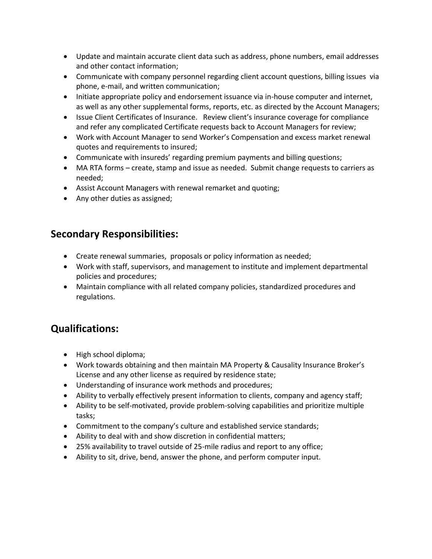- Update and maintain accurate client data such as address, phone numbers, email addresses and other contact information;
- Communicate with company personnel regarding client account questions, billing issues via phone, e-mail, and written communication;
- Initiate appropriate policy and endorsement issuance via in-house computer and internet, as well as any other supplemental forms, reports, etc. as directed by the Account Managers;
- Issue Client Certificates of Insurance. Review client's insurance coverage for compliance and refer any complicated Certificate requests back to Account Managers for review;
- Work with Account Manager to send Worker's Compensation and excess market renewal quotes and requirements to insured;
- Communicate with insureds' regarding premium payments and billing questions;
- MA RTA forms create, stamp and issue as needed. Submit change requests to carriers as needed;
- Assist Account Managers with renewal remarket and quoting;
- Any other duties as assigned;

#### **Secondary Responsibilities:**

- Create renewal summaries, proposals or policy information as needed;
- Work with staff, supervisors, and management to institute and implement departmental policies and procedures;
- Maintain compliance with all related company policies, standardized procedures and regulations.

### **Qualifications:**

- High school diploma;
- Work towards obtaining and then maintain MA Property & Causality Insurance Broker's License and any other license as required by residence state;
- Understanding of insurance work methods and procedures;
- Ability to verbally effectively present information to clients, company and agency staff;
- Ability to be self-motivated, provide problem-solving capabilities and prioritize multiple tasks;
- Commitment to the company's culture and established service standards;
- Ability to deal with and show discretion in confidential matters;
- 25% availability to travel outside of 25-mile radius and report to any office;
- Ability to sit, drive, bend, answer the phone, and perform computer input.